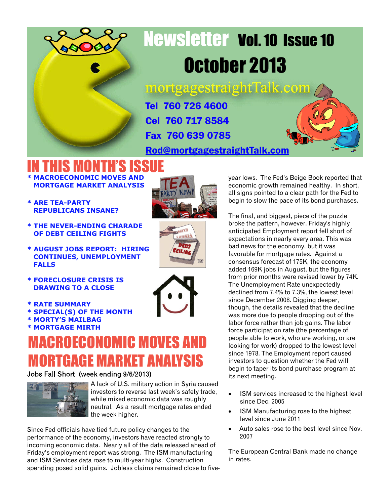

# Newsletter Vol. 10 Issue 10 October 2013

mortgagestraightTalk.com

Tel 760 726 4600 Cel 760 717 8584 Fax 760 639 0785

[Rod@mortgagestraightTalk.com](mailto:Rod@MortgageStraightTalk.com)

#### IN THIS MONTH'S ISSUE **\* MACROECONOMIC MOVES AND**

- **MORTGAGE MARKET ANALYSIS**
- **\* ARE TEA-PARTY REPUBLICANS INSANE?**
- **\* THE NEVER-ENDING CHARADE OF DEBT CEILING FIGHTS**
- **\* AUGUST JOBS REPORT: HIRING CONTINUES, UNEMPLOYMENT FALLS**
- **\* FORECLOSURE CRISIS IS DRAWING TO A CLOSE**
- **\* RATE SUMMARY**
- **\* SPECIAL(S) OF THE MONTH**
- **\* MORTY'S MAILBAG**
- **\* MORTGAGE MIRTH**

#### **CROECONOMIC MOVES AND** MORTGAGE MARKET ANALYSIS

#### Jobs Fall Short (week ending 9/6/2013)



A lack of U.S. military action in Syria caused investors to reverse last week's safety trade, while mixed economic data was roughly neutral. As a result mortgage rates ended the week higher.

Since Fed officials have tied future policy changes to the performance of the economy, investors have reacted strongly to incoming economic data. Nearly all of the data released ahead of Friday's employment report was strong. The ISM manufacturing and ISM Services data rose to multi-year highs. Construction spending posed solid gains. Jobless claims remained close to five-







year lows. The Fed's Beige Book reported that economic growth remained healthy. In short, all signs pointed to a clear path for the Fed to begin to slow the pace of its bond purchases.

The final, and biggest, piece of the puzzle broke the pattern, however. Friday's highly anticipated Employment report fell short of expectations in nearly every area. This was bad news for the economy, but it was favorable for mortgage rates. Against a consensus forecast of 175K, the economy added 169K jobs in August, but the figures from prior months were revised lower by 74K. The Unemployment Rate unexpectedly declined from 7.4% to 7.3%, the lowest level since December 2008. Digging deeper, though, the details revealed that the decline was more due to people dropping out of the labor force rather than job gains. The labor force participation rate (the percentage of people able to work, who are working, or are looking for work) dropped to the lowest level since 1978. The Employment report caused investors to question whether the Fed will begin to taper its bond purchase program at its next meeting.

- ISM services increased to the highest level since Dec. 2005
- ISM Manufacturing rose to the highest level since June 2011
- · Auto sales rose to the best level since Nov. 2007

The European Central Bank made no change in rates.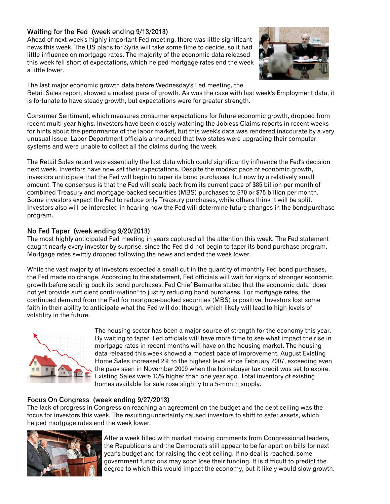#### Waiting for the Fed (week ending 9/13/2013)

Ahead of next week's highly important Fed meeting, there was little significant news this week. The US plans for Syria will take some time to decide, so it had little influence on mortgage rates. The majority of the economic data released this week fell short of expectations, which helped mortgage rates end the week a little lower.



The last major economic growth data before Wednesday's Fed meeting, the Retail Sales report, showed a modest pace of growth. As was the case with last week's Employment data, it is fortunate to have steady growth, but expectations were for greater strength.

Consumer Sentiment, which measures consumer expectations for future economic growth, dropped from recent multi-year highs. Investors have been closely watching the Jobless Claims reports in recent weeks for hints about the performance of the labor market, but this week's data was rendered inaccurate by a very unusual issue. Labor Department officials announced that two states were upgrading their computer systems and were unable to collect all the claims during the week.

The Retail Sales report was essentially the last data which could significantly influence the Fed's decision next week. Investors have now set their expectations. Despite the modest pace of economic growth, investors anticipate that the Fed will begin to taper its bond purchases, but now by a relatively small amount. The consensus is that the Fed will scale back from its current pace of \$85 billion per month of combined Treasury and mortgage-backed securities (MBS) purchases to \$70 or \$75 billion per month. Some investors expect the Fed to reduce only Treasury purchases, while others think it will be split. Investors also will be interested in hearing how the Fed will determine future changes in the bondpurchase program.

#### No Fed Taper (week ending 9/20/2013)

The most highly anticipated Fed meeting in years captured all the attention this week. The Fed statement caught nearly every investor by surprise, since the Fed did not begin to taper its bond purchase program. Mortgage rates swiftly dropped following the news and ended the week lower.

While the vast majority of investors expected a small cut in the quantity of monthly Fed bond purchases, the Fed made no change. According to the statement, Fed officials will wait for signs of stronger economic growth before scaling back its bond purchases. Fed Chief Bernanke stated that the economic data "does not yet provide sufficient confirmation" to justify reducing bond purchases. For mortgage rates, the continued demand from the Fed for mortgage-backed securities (MBS) is positive. Investors lost some faith in their ability to anticipate what the Fed will do, though, which likely will lead to high levels of volatility in the future.



The housing sector has been a major source of strength for the economy this year. By waiting to taper, Fed officials will have more time to see what impact the rise in mortgage rates in recent months will have on the housing market. The housing data released this week showed a modest pace of improvement. August Existing Home Sales increased 2% to the highest level since February 2007, exceeding even the peak seen in November 2009 when the homebuyer tax credit was set to expire. Existing Sales were 13% higher than one year ago. Total inventory of existing homes available for sale rose slightly to a 5-month supply.

#### Focus On Congress (week ending 9/27/2013)

The lack of progress in Congress on reaching an agreement on the budget and the debt ceiling was the focus for investors this week. The resultinguncertainty caused investors to shift to safer assets, which helped mortgage rates end the week lower.



After a week filled with market moving comments from Congressional leaders, the Republicans and the Democrats still appear to be far apart on bills for next year's budget and for raising the debt ceiling. If no deal is reached, some government functions may soon lose their funding. It is difficult to predict the degree to which this would impact the economy, but it likely would slow growth.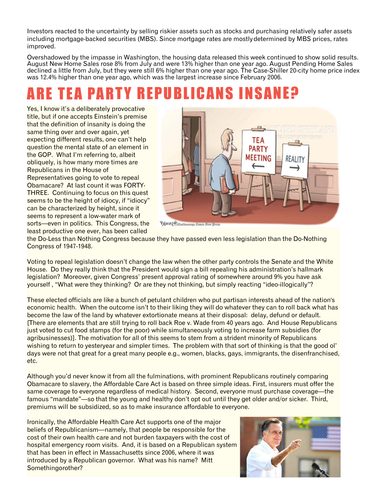Investors reacted to the uncertainty by selling riskier assets such as stocks and purchasing relatively safer assets including mortgage-backed securities (MBS). Since mortgage rates are mostlydetermined by MBS prices, rates improved.

Overshadowed by the impasse in Washington, the housing data released this week continued to show solid results. August New Home Sales rose 8% from July and were 13% higher than one year ago. August Pending Home Sales declined a little from July, but they were still 6% higher than one year ago. The Case-Shiller 20-city home price index was 12.4% higher than one year ago, which was the largest increase since February 2006.

### ARE TEA PARTY REPUBLICANS INSANE?

Yes, I know it's a deliberately provocative title, but if one accepts Einstein's premise that the definition of insanity is doing the same thing over and over again, yet expecting different results, one can't help question the mental state of an element in the GOP. What I'm referring to, albeit obliquely, is how many more times are Republicans in the House of Representatives going to vote to repeal Obamacare? At last count it was FORTY-THREE. Continuing to focus on this quest seems to be the height of idiocy, if "idiocy" can be characterized by height, since it seems to represent a low-water mark of sorts—even in politics. This Congress, the least productive one ever, has been called



Bennett Chattanooga Times Free Pres

the Do-Less than Nothing Congress because they have passed even less legislation than the Do-Nothing Congress of 1947-1948.

Voting to repeal legislation doesn't change the law when the other party controls the Senate and the White House. Do they really think that the President would sign a bill repealing his administration's hallmark legislation? Moreover, given Congress' present approval rating of somewhere around 9% you have ask yourself , "What were they thinking? Or are they not thinking, but simply reacting "ideo-illogically"?

These elected officials are like a bunch of petulant children who put partisan interests ahead of the nation's economic health. When the outcome isn't to their liking they will do whatever they can to roll back what has become the law of the land by whatever extortionate means at their disposal: delay, defund or default. [There are elements that are still trying to roll back Roe v. Wade from 40 years ago. And House Republicans just voted to cut food stamps (for the poor) while simultaneously voting to increase farm subsidies (for agribusinesses)]. The motivation for all of this seems to stem from a strident minority of Republicans wishing to return to yesteryear and simpler times. The problem with that sort of thinking is that the good ol' days were not that great for a great many people e.g., women, blacks, gays, immigrants, the disenfranchised, etc.

Although you'd never know it from all the fulminations, with prominent Republicans routinely comparing Obamacare to slavery, the Affordable Care Act is based on three simple ideas. First, insurers must offer the same coverage to everyone regardless of medical history. Second, everyone must purchase coverage—the famous "mandate"—so that the young and healthy don't opt out until they get older and/or sicker. Third, premiums will be subsidized, so as to make insurance affordable to everyone.

Ironically, the Affordable Health Care Act supports one of the major beliefs of Republicanism—namely, that people be responsible for the cost of their own health care and not burden taxpayers with the cost of hospital emergency room visits. And, it is based on a Republican system that has been in effect in Massachusetts since 2006, where it was introduced by a Republican governor. What was his name? Mitt Somethingorother?

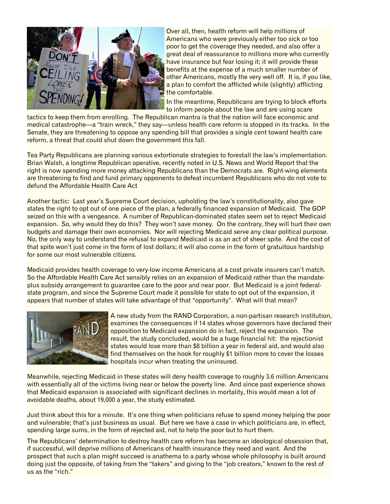

Over all, then, health reform will help millions of Americans who were previously either too sick or too poor to get the coverage they needed, and also offer a great deal of reassurance to millions more who currently have insurance but fear losing it; it will provide these benefits at the expense of a much smaller number of other Americans, mostly the very well off. It is, if you like, a plan to comfort the afflicted while (slightly) afflicting the comfortable.

In the meantime, Republicans are trying to block efforts to inform people about the law and are using scare

tactics to keep them from enrolling. The Republican mantra is that the nation will face economic and medical catastrophe—a "train wreck," they say—unless health care reform is stopped in its tracks. In the Senate, they are threatening to oppose any spending bill that provides a single cent toward health care reform, a threat that could shut down the government this fall.

Tea Party Republicans are planning various extortionate strategies to forestall the law's implementation. Brian Walsh, a longtime Republican operative, recently noted in U.S. News and World Report that the right is now spending more money attacking Republicans than the Democrats are. Right-wing elements are threatening to find and fund primary opponents to defeat incumbent Republicans who do not vote to defund the Affordable Health Care Act

Another tactic: Last year's Supreme Court decision, upholding the law's constitutionality, also gave states the right to opt out of one piece of the plan, a federally financed expansion of Medicaid. The GOP seized on this with a vengeance. A number of Republican-dominated states seem set to reject Medicaid expansion. So, why would they do this? They won't save money. On the contrary, they will hurt their own budgets and damage their own economies. Nor will rejecting Medicaid serve any clear political purpose. No, the only way to understand the refusal to expand Medicaid is as an act of sheer spite. And the cost of that spite won't just come in the form of lost dollars; it will also come in the form of gratuitous hardship for some our most vulnerable citizens.

Medicaid provides health coverage to very-low income Americans at a cost private insurers can't match. So the Affordable Health Care Act sensibly relies on an expansion of Medicaid rather than the mandateplus subsidy arrangement to guarantee care to the poor and near poor. But Medicaid is a joint federalstate program, and since the Supreme Court made it possible for state to opt out of the expansion, it appears that number of states will take advantage of that "opportunity". What will that mean?



A new study from the RAND Corporation, a non-partisan research institution, examines the consequences if 14 states whose governors have declared their opposition to Medicaid expansion do in fact, reject the expansion. The result, the study concluded, would be a huge financial hit: the rejectionist states would lose more than \$8 billion a year in federal aid, and would also find themselves on the hook for roughly \$1 billion more to cover the losses hospitals incur when treating the uninsured.

Meanwhile, rejecting Medicaid in these states will deny health coverage to roughly 3.6 million Americans with essentially all of the victims living near or below the poverty line. And since past experience shows that Medicaid expansion is associated with significant declines in mortality, this would mean a lot of avoidable deaths, about 19,000 a year, the study estimated.

Just think about this for a minute. It's one thing when politicians refuse to spend money helping the poor and vulnerable; that's just business as usual. But here we have a case in which politicians are, in effect, spending large sums, in the form of rejected aid, not to help the poor but to hurt them.

The Republicans' determination to destroy health care reform has become an ideological obsession that, if successful, will deprive millions of Americans of health insurance they need and want. And the prospect that such a plan might succeed is anathema to a party whose whole philosophy is built around doing just the opposite, of taking from the "takers" and giving to the "job creators," known to the rest of us as the "rich."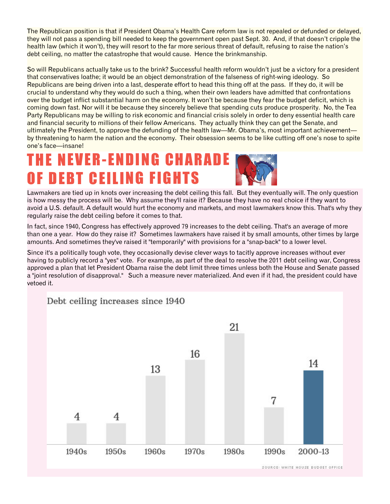The Republican position is that if President Obama's Health Care reform law is not repealed or defunded or delayed, they will not pass a spending bill needed to keep the government open past Sept. 30. And, if that doesn't cripple the health law (which it won't), they will resort to the far more serious threat of default, refusing to raise the nation's debt ceiling, no matter the catastrophe that would cause. Hence the brinkmanship.

So will Republicans actually take us to the brink? Successful health reform wouldn't just be a victory for a president that conservatives loathe; it would be an object demonstration of the falseness of right-wing ideology. So Republicans are being driven into a last, desperate effort to head this thing off at the pass. If they do, it will be crucial to understand why they would do such a thing, when their own leaders have admitted that confrontations over the budget inflict substantial harm on the economy. It won't be because they fear the budget deficit, which is coming down fast. Nor will it be because they sincerely believe that spending cuts produce prosperity. No, the Tea Party Republicans may be willing to risk economic and financial crisis solely in order to deny essential health care and financial security to millions of their fellow Americans. They actually think they can get the Senate, and ultimately the President, to approve the defunding of the health law—Mr. Obama's, most important achievement by threatening to harm the nation and the economy. Their obsession seems to be like cutting off one's nose to spite one's face—insane!

#### T H E N E V E R - E N D I N G C H A R A D E OF DEBT CEILING FIGHTS

Lawmakers are tied up in knots over increasing the debt ceiling this fall. But they eventually will. The only question is how messy the process will be. Why assume they'll raise it? Because they have no real choice if they want to avoid a U.S. default. A default would hurt the economy and markets, and most lawmakers know this. That's why they regularly raise the debt ceiling before it comes to that.

In fact, since 1940, Congress has effectively approved 79 increases to the debt ceiling. That's an average of more than one a year. How do they raise it? Sometimes lawmakers have raised it by small amounts, other times by large amounts. And sometimes they've raised it "temporarily" with provisions for a "snap-back" to a lower level.

Since it's a politically tough vote, they occasionally devise clever ways to tacitly approve increases without ever having to publicly record a "yes" vote. For example, as part of the deal to resolve the 2011 debt ceiling war, Congress approved a plan that let President Obama raise the debt limit three times unless both the House and Senate passed a "joint resolution of disapproval." Such a measure never materialized. And even if it had, the president could have vetoed it.

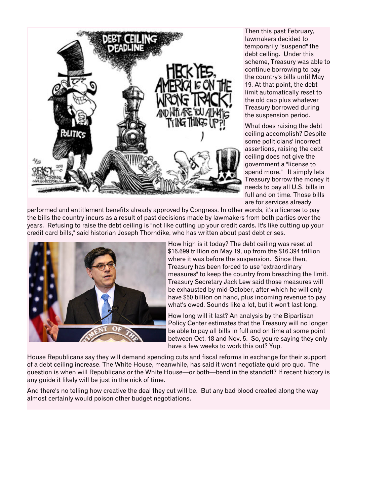

Then this past February, lawmakers decided to temporarily "suspend" the debt ceiling. Under this scheme, Treasury was able to continue borrowing to pay the country's bills until May 19. At that point, the debt limit automatically reset to the old cap plus whatever Treasury borrowed during the suspension period.

What does raising the debt ceiling accomplish? Despite some politicians' incorrect assertions, raising the debt ceiling does not give the government a "license to spend more." It simply lets Treasury borrow the money it needs to pay all U.S. bills in full and on time. Those bills are for services already

performed and entitlement benefits already approved by Congress. In other words, it's a license to pay the bills the country incurs as a result of past decisions made by lawmakers from both parties over the years. Refusing to raise the debt ceiling is "not like cutting up your credit cards. It's like cutting up your credit card bills," said historian Joseph Thorndike, who has written about past debt crises.



How high is it today? The debt ceiling was reset at \$16.699 trillion on May 19, up from the \$16.394 trillion where it was before the suspension. Since then, Treasury has been forced to use "extraordinary measures" to keep the country from breaching the limit. Treasury Secretary Jack Lew said those measures will be exhausted by mid-October, after which he will only have \$50 billion on hand, plus incoming revenue to pay what's owed. Sounds like a lot, but it won't last long.

How long will it last? An analysis by the Bipartisan Policy Center estimates that the Treasury will no longer be able to pay all bills in full and on time at some point between Oct. 18 and Nov. 5. So, you're saying they only have a few weeks to work this out? Yup.

House Republicans say they will demand spending cuts and fiscal reforms in exchange for their support of a debt ceiling increase. The White House, meanwhile, has said it won't negotiate quid pro quo. The question is when will Republicans or the White House—or both—bend in the standoff? If recent history is any guide it likely will be just in the nick of time.

And there's no telling how creative the deal they cut will be. But any bad blood created along the way almost certainly would poison other budget negotiations.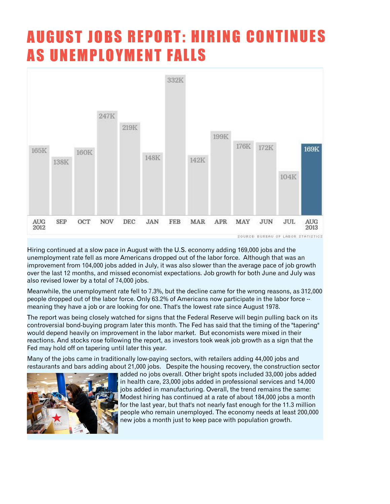### AUGUST JOBS REPORT: HIRING CONTINUES **AS UNEMPLOYMENT FALLS**



Hiring continued at a slow pace in August with the U.S. economy adding 169,000 jobs and the unemployment rate fell as more Americans dropped out of the labor force. Although that was an improvement from 104,000 jobs added in July, it was also slower than the average pace of job growth over the last 12 months, and missed economist expectations. Job growth for both June and July was also revised lower by a total of 74,000 jobs.

Meanwhile, the unemployment rate fell to 7.3%, but the decline came for the wrong reasons, as 312,000 people dropped out of the labor force. Only 63.2% of Americans now participate in the labor force - meaning they have a job or are looking for one. That's the lowest rate since August 1978.

The report was being closely watched for signs that the Federal Reserve will begin pulling back on its controversial bond-buying program later this month. The Fed has said that the timing of the "tapering" would depend heavily on improvement in the labor market. But economists were mixed in their reactions. And stocks rose following the report, as investors took weak job growth as a sign that the Fed may hold off on tapering until later this year.

Many of the jobs came in traditionally low-paying sectors, with retailers adding 44,000 jobs and restaurants and bars adding about 21,000 jobs. Despite the housing recovery, the construction sector



added no jobs overall. Other bright spots included 33,000 jobs added in health care, 23,000 jobs added in professional services and 14,000 jobs added in manufacturing. Overall, the trend remains the same: Modest hiring has continued at a rate of about 184,000 jobs a month for the last year, but that's not nearly fast enough for the 11.3 million people who remain unemployed. The economy needs at least 200,000 new jobs a month just to keep pace with population growth.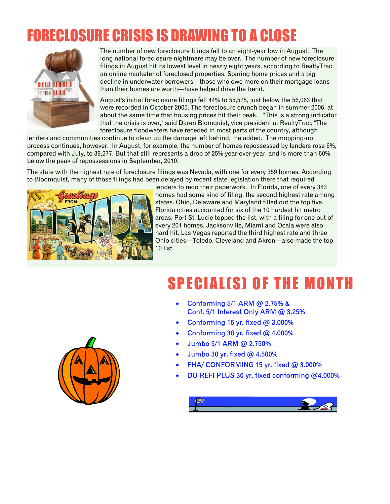### FORECLOSURE CRISIS IS DRAWING TO A CLOSE



The number of new foreclosure filings fell to an eight-year low in August. The long national foreclosure nightmare may be over. The number of new foreclosure filings in August hit its lowest level in nearly eight years, according to RealtyTrac, an online marketer of foreclosed properties. Soaring home prices and a big decline in underwater borrowers—those who owe more on their mortgage loans than their homes are worth—have helped drive the trend.

August's initial foreclosure filings fell 44% to 55,575, just below the 56,063 that were recorded in October 2005. The foreclosure crunch began in summer 2006, at about the same time that housing prices hit their peak. "This is a strong indicator that the crisis is over," said Daren Blomquist, vice president at RealtyTrac. "The foreclosure floodwaters have receded in most parts of the country, although

lenders and communities continue to clean up the damage left behind," he added. The mopping-up process continues, however. In August, for example, the number of homes repossessed by lenders rose 6%, compared with July, to 39,277. But that still represents a drop of 25% year-over-year, and is more than 60% below the peak of repossessions in September, 2010.

The state with the highest rate of foreclosure filings was Nevada, with one for every 359 homes. According to Bloomquist, many of those filings had been delayed by recent state legislation there that required



lenders to redo their paperwork. In Florida, one of every 383 homes had some kind of filing, the second highest rate among states. Ohio, Delaware and Maryland filled out the top five. Florida cities accounted for six of the 10 hardest hit metro areas. Port St. Lucie topped the list, with a filing for one out of every 201 homes. Jacksonville, Miami and Ocala were also hard hit. Las Vegas reported the third highest rate and three Ohio cities—Toledo, Cleveland and Akron—also made the top 10 list.

### SPECIALIS) OF THE MONTH

- Conforming 5/1 ARM @ 2.75% & Conf. 5/1 Interest Only ARM @ 3.25%
- Conforming 15 yr. fixed  $@3.000\%$ ·
- Conforming 30 yr. fixed  $@$  4.000% ·
- Jumbo 5/1 ARM @ 2.750% ·
- Jumbo 30 yr. fixed @ 4.500% ·
- FHA/ CONFORMING 15 yr. fixed @ 3.000% ·
- DU REFI PLUS 30 yr. fixed conforming @4.000% ·